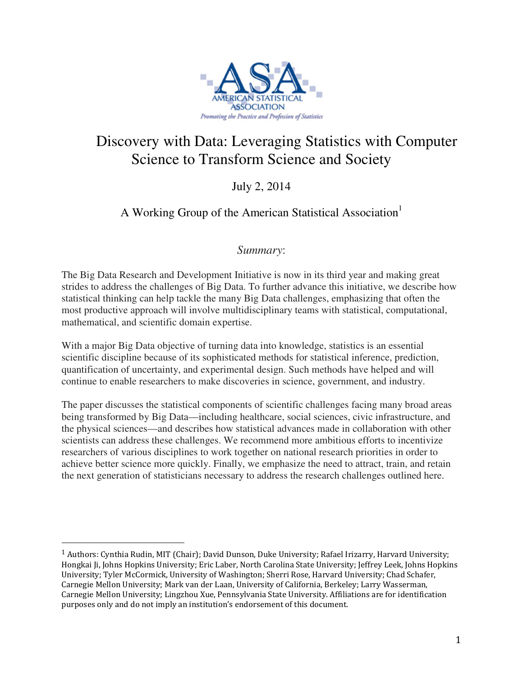

# Discovery with Data: Leveraging Statistics with Computer Science to Transform Science and Society

## July 2, 2014

### A Working Group of the American Statistical Association<sup>1</sup>

### *Summary*:

The Big Data Research and Development Initiative is now in its third year and making great strides to address the challenges of Big Data. To further advance this initiative, we describe how statistical thinking can help tackle the many Big Data challenges, emphasizing that often the most productive approach will involve multidisciplinary teams with statistical, computational, mathematical, and scientific domain expertise.

With a major Big Data objective of turning data into knowledge, statistics is an essential scientific discipline because of its sophisticated methods for statistical inference, prediction, quantification of uncertainty, and experimental design. Such methods have helped and will continue to enable researchers to make discoveries in science, government, and industry.

The paper discusses the statistical components of scientific challenges facing many broad areas being transformed by Big Data—including healthcare, social sciences, civic infrastructure, and the physical sciences—and describes how statistical advances made in collaboration with other scientists can address these challenges. We recommend more ambitious efforts to incentivize researchers of various disciplines to work together on national research priorities in order to achieve better science more quickly. Finally, we emphasize the need to attract, train, and retain the next generation of statisticians necessary to address the research challenges outlined here.

<sup>&</sup>lt;sup>1</sup> Authors: Cynthia Rudin, MIT (Chair); David Dunson, Duke University; Rafael Irizarry, Harvard University; Hongkai Ji, Johns Hopkins University; Eric Laber, North Carolina State University; Jeffrey Leek, Johns Hopkins University; Tyler McCormick, University of Washington; Sherri Rose, Harvard University; Chad Schafer, Carnegie Mellon University; Mark van der Laan, University of California, Berkeley; Larry Wasserman, Carnegie Mellon University; Lingzhou Xue, Pennsylvania State University. Affiliations are for identification purposes only and do not imply an institution's endorsement of this document.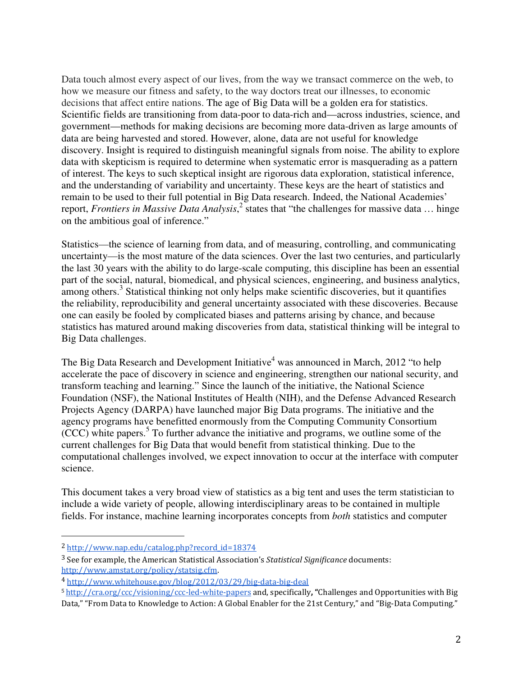Data touch almost every aspect of our lives, from the way we transact commerce on the web, to how we measure our fitness and safety, to the way doctors treat our illnesses, to economic decisions that affect entire nations. The age of Big Data will be a golden era for statistics. Scientific fields are transitioning from data-poor to data-rich and—across industries, science, and government—methods for making decisions are becoming more data-driven as large amounts of data are being harvested and stored. However, alone, data are not useful for knowledge discovery. Insight is required to distinguish meaningful signals from noise. The ability to explore data with skepticism is required to determine when systematic error is masquerading as a pattern of interest. The keys to such skeptical insight are rigorous data exploration, statistical inference, and the understanding of variability and uncertainty. These keys are the heart of statistics and remain to be used to their full potential in Big Data research. Indeed, the National Academies' report, *Frontiers in Massive Data Analysis*,<sup>2</sup> states that "the challenges for massive data ... hinge on the ambitious goal of inference."

Statistics—the science of learning from data, and of measuring, controlling, and communicating uncertainty—is the most mature of the data sciences. Over the last two centuries, and particularly the last 30 years with the ability to do large-scale computing, this discipline has been an essential part of the social, natural, biomedical, and physical sciences, engineering, and business analytics, among others.<sup>3</sup> Statistical thinking not only helps make scientific discoveries, but it quantifies the reliability, reproducibility and general uncertainty associated with these discoveries. Because one can easily be fooled by complicated biases and patterns arising by chance, and because statistics has matured around making discoveries from data, statistical thinking will be integral to Big Data challenges.

The Big Data Research and Development Initiative<sup>4</sup> was announced in March, 2012 "to help accelerate the pace of discovery in science and engineering, strengthen our national security, and transform teaching and learning." Since the launch of the initiative, the National Science Foundation (NSF), the National Institutes of Health (NIH), and the Defense Advanced Research Projects Agency (DARPA) have launched major Big Data programs. The initiative and the agency programs have benefitted enormously from the Computing Community Consortium (CCC) white papers.<sup>5</sup> To further advance the initiative and programs, we outline some of the current challenges for Big Data that would benefit from statistical thinking. Due to the computational challenges involved, we expect innovation to occur at the interface with computer science.

This document takes a very broad view of statistics as a big tent and uses the term statistician to include a wide variety of people, allowing interdisciplinary areas to be contained in multiple fields. For instance, machine learning incorporates concepts from *both* statistics and computer

<sup>2</sup> http://www.nap.edu/catalog.php?record\_id=18374

<sup>&</sup>lt;sup>3</sup> See for example, the American Statistical Association's Statistical Significance documents: http://www.amstat.org/policy/statsig.cfm.

<sup>4</sup> http://www.whitehouse.gov/blog/2012/03/29/big-data-big-deal

<sup>5</sup> http://cra.org/ccc/visioning/ccc-led-white-papers and, specifically, "Challenges and Opportunities with Big Data," "From Data to Knowledge to Action: A Global Enabler for the 21st Century," and "Big-Data Computing."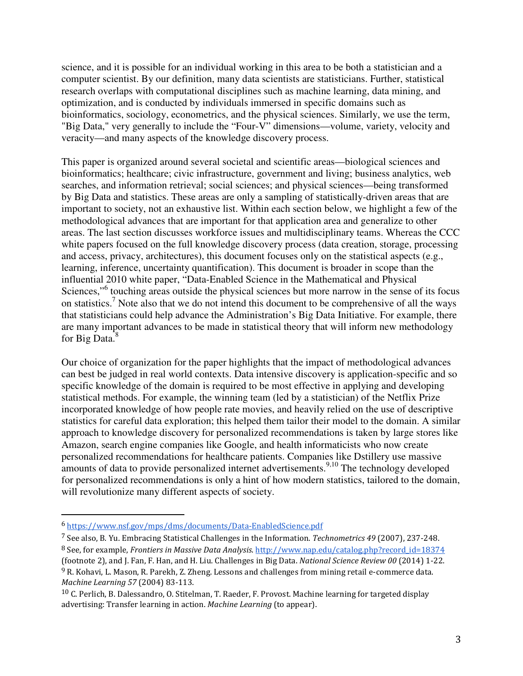science, and it is possible for an individual working in this area to be both a statistician and a computer scientist. By our definition, many data scientists are statisticians. Further, statistical research overlaps with computational disciplines such as machine learning, data mining, and optimization, and is conducted by individuals immersed in specific domains such as bioinformatics, sociology, econometrics, and the physical sciences. Similarly, we use the term, "Big Data," very generally to include the "Four-V" dimensions—volume, variety, velocity and veracity—and many aspects of the knowledge discovery process.

This paper is organized around several societal and scientific areas—biological sciences and bioinformatics; healthcare; civic infrastructure, government and living; business analytics, web searches, and information retrieval; social sciences; and physical sciences—being transformed by Big Data and statistics. These areas are only a sampling of statistically-driven areas that are important to society, not an exhaustive list. Within each section below, we highlight a few of the methodological advances that are important for that application area and generalize to other areas. The last section discusses workforce issues and multidisciplinary teams. Whereas the CCC white papers focused on the full knowledge discovery process (data creation, storage, processing and access, privacy, architectures), this document focuses only on the statistical aspects (e.g., learning, inference, uncertainty quantification). This document is broader in scope than the influential 2010 white paper, "Data-Enabled Science in the Mathematical and Physical Sciences,"<sup>6</sup> touching areas outside the physical sciences but more narrow in the sense of its focus on statistics.<sup>7</sup> Note also that we do not intend this document to be comprehensive of all the ways that statisticians could help advance the Administration's Big Data Initiative. For example, there are many important advances to be made in statistical theory that will inform new methodology for Big Data.<sup>8</sup>

Our choice of organization for the paper highlights that the impact of methodological advances can best be judged in real world contexts. Data intensive discovery is application-specific and so specific knowledge of the domain is required to be most effective in applying and developing statistical methods. For example, the winning team (led by a statistician) of the Netflix Prize incorporated knowledge of how people rate movies, and heavily relied on the use of descriptive statistics for careful data exploration; this helped them tailor their model to the domain. A similar approach to knowledge discovery for personalized recommendations is taken by large stores like Amazon, search engine companies like Google, and health informaticists who now create personalized recommendations for healthcare patients. Companies like Dstillery use massive amounts of data to provide personalized internet advertisements.<sup>9,10</sup> The technology developed for personalized recommendations is only a hint of how modern statistics, tailored to the domain, will revolutionize many different aspects of society.

<sup>6</sup> https://www.nsf.gov/mps/dms/documents/Data-EnabledScience.pdf

<sup>7</sup> See also, B. Yu. Embracing Statistical Challenges in the Information. Technometrics 49 (2007), 237-248.

<sup>8</sup> See, for example, Frontiers in Massive Data Analysis. http://www.nap.edu/catalog.php?record\_id=18374 (footnote 2), and J. Fan, F. Han, and H. Liu. Challenges in Big Data. National Science Review 00 (2014) 1-22.

<sup>&</sup>lt;sup>9</sup> R. Kohavi, L. Mason, R. Parekh, Z. Zheng. Lessons and challenges from mining retail e-commerce data. Machine Learning 57 (2004) 83-113.

<sup>10</sup> C. Perlich, B. Dalessandro, O. Stitelman, T. Raeder, F. Provost. Machine learning for targeted display advertising: Transfer learning in action. Machine Learning (to appear).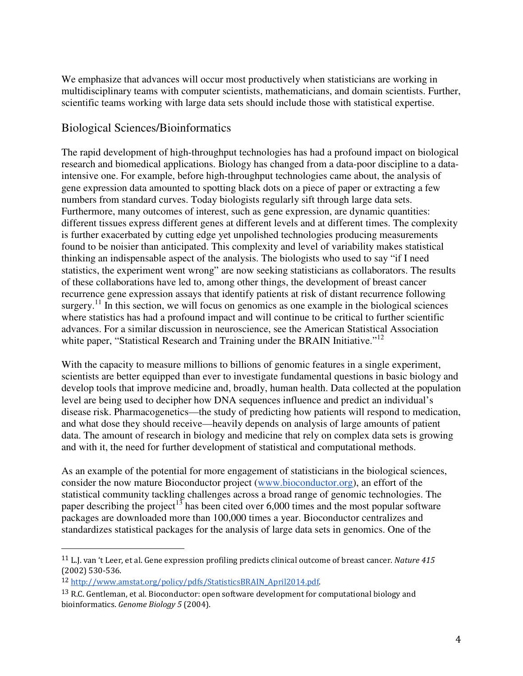We emphasize that advances will occur most productively when statisticians are working in multidisciplinary teams with computer scientists, mathematicians, and domain scientists. Further, scientific teams working with large data sets should include those with statistical expertise.

#### Biological Sciences/Bioinformatics

The rapid development of high-throughput technologies has had a profound impact on biological research and biomedical applications. Biology has changed from a data-poor discipline to a dataintensive one. For example, before high-throughput technologies came about, the analysis of gene expression data amounted to spotting black dots on a piece of paper or extracting a few numbers from standard curves. Today biologists regularly sift through large data sets. Furthermore, many outcomes of interest, such as gene expression, are dynamic quantities: different tissues express different genes at different levels and at different times. The complexity is further exacerbated by cutting edge yet unpolished technologies producing measurements found to be noisier than anticipated. This complexity and level of variability makes statistical thinking an indispensable aspect of the analysis. The biologists who used to say "if I need statistics, the experiment went wrong" are now seeking statisticians as collaborators. The results of these collaborations have led to, among other things, the development of breast cancer recurrence gene expression assays that identify patients at risk of distant recurrence following surgery.<sup>11</sup> In this section, we will focus on genomics as one example in the biological sciences where statistics has had a profound impact and will continue to be critical to further scientific advances. For a similar discussion in neuroscience, see the American Statistical Association white paper, "Statistical Research and Training under the BRAIN Initiative."<sup>12</sup>

With the capacity to measure millions to billions of genomic features in a single experiment, scientists are better equipped than ever to investigate fundamental questions in basic biology and develop tools that improve medicine and, broadly, human health. Data collected at the population level are being used to decipher how DNA sequences influence and predict an individual's disease risk. Pharmacogenetics—the study of predicting how patients will respond to medication, and what dose they should receive—heavily depends on analysis of large amounts of patient data. The amount of research in biology and medicine that rely on complex data sets is growing and with it, the need for further development of statistical and computational methods.

As an example of the potential for more engagement of statisticians in the biological sciences, consider the now mature Bioconductor project (www.bioconductor.org), an effort of the statistical community tackling challenges across a broad range of genomic technologies. The paper describing the project<sup>13</sup> has been cited over 6,000 times and the most popular software packages are downloaded more than 100,000 times a year. Bioconductor centralizes and standardizes statistical packages for the analysis of large data sets in genomics. One of the

<sup>11</sup> L.J. van 't Leer, et al. Gene expression profiling predicts clinical outcome of breast cancer. Nature 415 (2002) 530-536.

<sup>12</sup> http://www.amstat.org/policy/pdfs/StatisticsBRAIN\_April2014.pdf.

<sup>&</sup>lt;sup>13</sup> R.C. Gentleman, et al. Bioconductor: open software development for computational biology and bioinformatics. Genome Biology 5 (2004).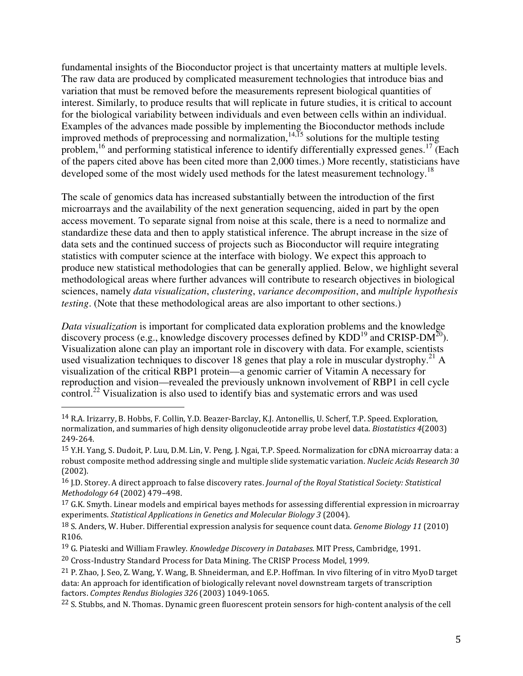fundamental insights of the Bioconductor project is that uncertainty matters at multiple levels. The raw data are produced by complicated measurement technologies that introduce bias and variation that must be removed before the measurements represent biological quantities of interest. Similarly, to produce results that will replicate in future studies, it is critical to account for the biological variability between individuals and even between cells within an individual. Examples of the advances made possible by implementing the Bioconductor methods include improved methods of preprocessing and normalization,  $14,15$  solutions for the multiple testing problem,<sup>16</sup> and performing statistical inference to identify differentially expressed genes.<sup>17</sup> (Each of the papers cited above has been cited more than 2,000 times.) More recently, statisticians have developed some of the most widely used methods for the latest measurement technology.<sup>18</sup>

The scale of genomics data has increased substantially between the introduction of the first microarrays and the availability of the next generation sequencing, aided in part by the open access movement. To separate signal from noise at this scale, there is a need to normalize and standardize these data and then to apply statistical inference. The abrupt increase in the size of data sets and the continued success of projects such as Bioconductor will require integrating statistics with computer science at the interface with biology. We expect this approach to produce new statistical methodologies that can be generally applied. Below, we highlight several methodological areas where further advances will contribute to research objectives in biological sciences, namely *data visualization*, *clustering*, *variance decomposition*, and *multiple hypothesis testing*. (Note that these methodological areas are also important to other sections.)

*Data visualization* is important for complicated data exploration problems and the knowledge discovery process (e.g., knowledge discovery processes defined by  $KDD^{19}$  and CRISP-DM<sup>20</sup>). Visualization alone can play an important role in discovery with data. For example, scientists used visualization techniques to discover 18 genes that play a role in muscular dystrophy.<sup>21</sup> A visualization of the critical RBP1 protein—a genomic carrier of Vitamin A necessary for reproduction and vision—revealed the previously unknown involvement of RBP1 in cell cycle control.<sup>22</sup> Visualization is also used to identify bias and systematic errors and was used

<sup>19</sup> G. Piateski and William Frawley. Knowledge Discovery in Databases. MIT Press, Cambridge, 1991.

<sup>14</sup> R.A. Irizarry, B. Hobbs, F. Collin, Y.D. Beazer-Barclay, K.J. Antonellis, U. Scherf, T.P. Speed. Exploration, normalization, and summaries of high density oligonucleotide array probe level data. Biostatistics 4(2003) 249-264.

<sup>15</sup> Y.H. Yang, S. Dudoit, P. Luu, D.M. Lin, V. Peng, J. Ngai, T.P. Speed. Normalization for cDNA microarray data: a robust composite method addressing single and multiple slide systematic variation. Nucleic Acids Research 30 (2002).

<sup>&</sup>lt;sup>16</sup> J.D. Storey. A direct approach to false discovery rates. Journal of the Royal Statistical Society: Statistical Methodology 64 (2002) 479–498.

 $17$  G.K. Smyth. Linear models and empirical bayes methods for assessing differential expression in microarray experiments. Statistical Applications in Genetics and Molecular Biology 3 (2004).

<sup>18</sup> S. Anders, W. Huber. Differential expression analysis for sequence count data. Genome Biology 11 (2010) R106.

<sup>20</sup> Cross-Industry Standard Process for Data Mining. The CRISP Process Model, 1999.

<sup>&</sup>lt;sup>21</sup> P. Zhao, J. Seo, Z. Wang, Y. Wang, B. Shneiderman, and E.P. Hoffman. In vivo filtering of in vitro MyoD target data: An approach for identification of biologically relevant novel downstream targets of transcription factors. Comptes Rendus Biologies 326 (2003) 1049-1065.

<sup>&</sup>lt;sup>22</sup> S. Stubbs, and N. Thomas. Dynamic green fluorescent protein sensors for high-content analysis of the cell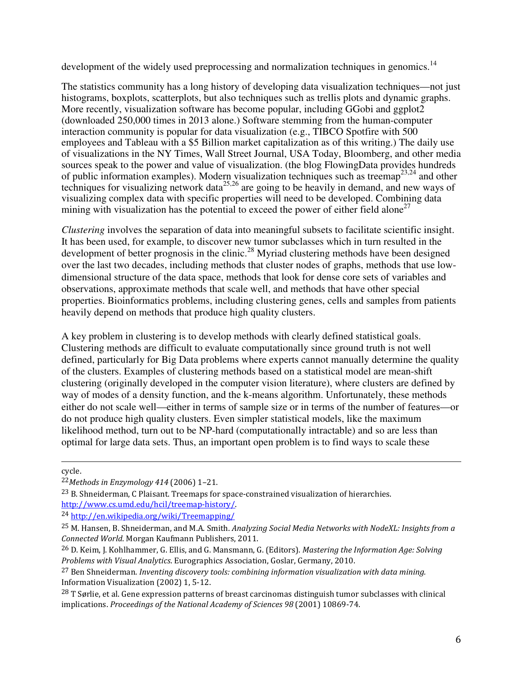development of the widely used preprocessing and normalization techniques in genomics.<sup>14</sup>

The statistics community has a long history of developing data visualization techniques—not just histograms, boxplots, scatterplots, but also techniques such as trellis plots and dynamic graphs. More recently, visualization software has become popular, including GGobi and ggplot2 (downloaded 250,000 times in 2013 alone.) Software stemming from the human-computer interaction community is popular for data visualization (e.g., TIBCO Spotfire with 500 employees and Tableau with a \$5 Billion market capitalization as of this writing.) The daily use of visualizations in the NY Times, Wall Street Journal, USA Today, Bloomberg, and other media sources speak to the power and value of visualization. (the blog FlowingData provides hundreds of public information examples). Modern visualization techniques such as treemap23,24 and other techniques for visualizing network data $^{25,26}$  are going to be heavily in demand, and new ways of visualizing complex data with specific properties will need to be developed. Combining data mining with visualization has the potential to exceed the power of either field alone<sup>27</sup>

*Clustering* involves the separation of data into meaningful subsets to facilitate scientific insight. It has been used, for example, to discover new tumor subclasses which in turn resulted in the development of better prognosis in the clinic.<sup>28</sup> Myriad clustering methods have been designed over the last two decades, including methods that cluster nodes of graphs, methods that use lowdimensional structure of the data space, methods that look for dense core sets of variables and observations, approximate methods that scale well, and methods that have other special properties. Bioinformatics problems, including clustering genes, cells and samples from patients heavily depend on methods that produce high quality clusters.

A key problem in clustering is to develop methods with clearly defined statistical goals. Clustering methods are difficult to evaluate computationally since ground truth is not well defined, particularly for Big Data problems where experts cannot manually determine the quality of the clusters. Examples of clustering methods based on a statistical model are mean-shift clustering (originally developed in the computer vision literature), where clusters are defined by way of modes of a density function, and the k-means algorithm. Unfortunately, these methods either do not scale well—either in terms of sample size or in terms of the number of features—or do not produce high quality clusters. Even simpler statistical models, like the maximum likelihood method, turn out to be NP-hard (computationally intractable) and so are less than optimal for large data sets. Thus, an important open problem is to find ways to scale these

 $\overline{a}$ cycle.

<sup>22</sup>Methods in Enzymology 414 (2006) 1–21.

<sup>23</sup> B. Shneiderman, C Plaisant. Treemaps for space-constrained visualization of hierarchies. http://www.cs.umd.edu/hcil/treemap-history/.

<sup>24</sup> http://en.wikipedia.org/wiki/Treemapping/

<sup>25</sup> M. Hansen, B. Shneiderman, and M.A. Smith. Analyzing Social Media Networks with NodeXL: Insights from a Connected World. Morgan Kaufmann Publishers, 2011.

<sup>&</sup>lt;sup>26</sup> D. Keim, J. Kohlhammer, G. Ellis, and G. Mansmann, G. (Editors). Mastering the Information Age: Solving Problems with Visual Analytics. Eurographics Association, Goslar, Germany, 2010.

 $27$  Ben Shneiderman. Inventing discovery tools: combining information visualization with data mining. Information Visualization (2002) 1, 5-12.

<sup>28</sup> T Sørlie, et al. Gene expression patterns of breast carcinomas distinguish tumor subclasses with clinical implications. Proceedings of the National Academy of Sciences 98 (2001) 10869-74.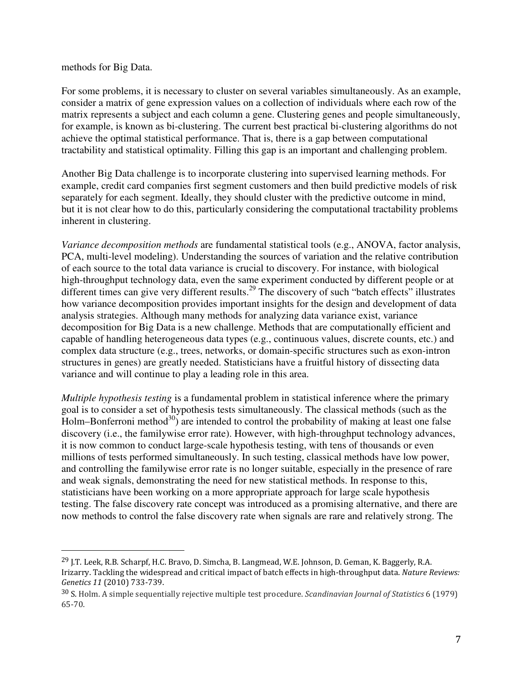#### methods for Big Data.

 $\overline{a}$ 

For some problems, it is necessary to cluster on several variables simultaneously. As an example, consider a matrix of gene expression values on a collection of individuals where each row of the matrix represents a subject and each column a gene. Clustering genes and people simultaneously, for example, is known as bi-clustering. The current best practical bi-clustering algorithms do not achieve the optimal statistical performance. That is, there is a gap between computational tractability and statistical optimality. Filling this gap is an important and challenging problem.

Another Big Data challenge is to incorporate clustering into supervised learning methods. For example, credit card companies first segment customers and then build predictive models of risk separately for each segment. Ideally, they should cluster with the predictive outcome in mind, but it is not clear how to do this, particularly considering the computational tractability problems inherent in clustering.

*Variance decomposition methods* are fundamental statistical tools (e.g., ANOVA, factor analysis, PCA, multi-level modeling). Understanding the sources of variation and the relative contribution of each source to the total data variance is crucial to discovery. For instance, with biological high-throughput technology data, even the same experiment conducted by different people or at different times can give very different results.<sup>29</sup> The discovery of such "batch effects" illustrates how variance decomposition provides important insights for the design and development of data analysis strategies. Although many methods for analyzing data variance exist, variance decomposition for Big Data is a new challenge. Methods that are computationally efficient and capable of handling heterogeneous data types (e.g., continuous values, discrete counts, etc.) and complex data structure (e.g., trees, networks, or domain-specific structures such as exon-intron structures in genes) are greatly needed. Statisticians have a fruitful history of dissecting data variance and will continue to play a leading role in this area.

*Multiple hypothesis testing* is a fundamental problem in statistical inference where the primary goal is to consider a set of hypothesis tests simultaneously. The classical methods (such as the  $Holm-Bonferroni method<sup>30</sup>$  are intended to control the probability of making at least one false discovery (i.e., the familywise error rate). However, with high-throughput technology advances, it is now common to conduct large-scale hypothesis testing, with tens of thousands or even millions of tests performed simultaneously. In such testing, classical methods have low power, and controlling the familywise error rate is no longer suitable, especially in the presence of rare and weak signals, demonstrating the need for new statistical methods. In response to this, statisticians have been working on a more appropriate approach for large scale hypothesis testing. The false discovery rate concept was introduced as a promising alternative, and there are now methods to control the false discovery rate when signals are rare and relatively strong. The

<sup>&</sup>lt;sup>29</sup> J.T. Leek, R.B. Scharpf, H.C. Bravo, D. Simcha, B. Langmead, W.E. Johnson, D. Geman, K. Baggerly, R.A. Irizarry. Tackling the widespread and critical impact of batch effects in high-throughput data. Nature Reviews: Genetics 11 (2010) 733-739.

<sup>30</sup> S. Holm. A simple sequentially rejective multiple test procedure. Scandinavian Journal of Statistics 6 (1979) 65-70.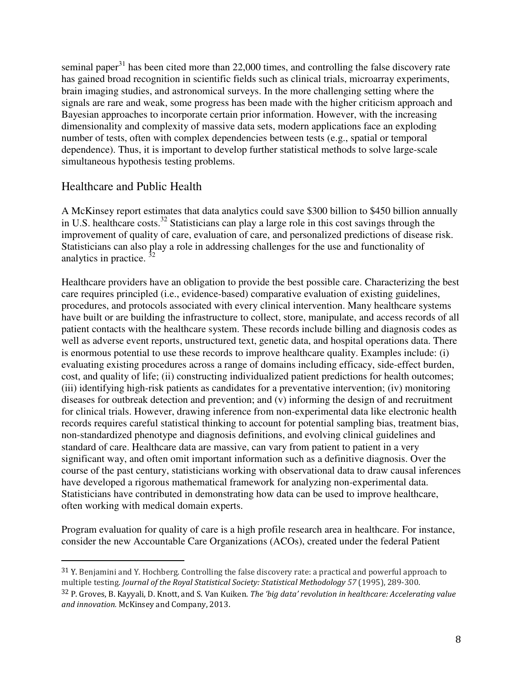seminal paper $31$  has been cited more than 22,000 times, and controlling the false discovery rate has gained broad recognition in scientific fields such as clinical trials, microarray experiments, brain imaging studies, and astronomical surveys. In the more challenging setting where the signals are rare and weak, some progress has been made with the higher criticism approach and Bayesian approaches to incorporate certain prior information. However, with the increasing dimensionality and complexity of massive data sets, modern applications face an exploding number of tests, often with complex dependencies between tests (e.g., spatial or temporal dependence). Thus, it is important to develop further statistical methods to solve large-scale simultaneous hypothesis testing problems.

#### Healthcare and Public Health

 $\overline{a}$ 

A McKinsey report estimates that data analytics could save \$300 billion to \$450 billion annually in U.S. healthcare costs.<sup>32</sup> Statisticians can play a large role in this cost savings through the improvement of quality of care, evaluation of care, and personalized predictions of disease risk. Statisticians can also play a role in addressing challenges for the use and functionality of analytics in practice.

Healthcare providers have an obligation to provide the best possible care. Characterizing the best care requires principled (i.e., evidence-based) comparative evaluation of existing guidelines, procedures, and protocols associated with every clinical intervention. Many healthcare systems have built or are building the infrastructure to collect, store, manipulate, and access records of all patient contacts with the healthcare system. These records include billing and diagnosis codes as well as adverse event reports, unstructured text, genetic data, and hospital operations data. There is enormous potential to use these records to improve healthcare quality. Examples include: (i) evaluating existing procedures across a range of domains including efficacy, side-effect burden, cost, and quality of life; (ii) constructing individualized patient predictions for health outcomes; (iii) identifying high-risk patients as candidates for a preventative intervention; (iv) monitoring diseases for outbreak detection and prevention; and (v) informing the design of and recruitment for clinical trials. However, drawing inference from non-experimental data like electronic health records requires careful statistical thinking to account for potential sampling bias, treatment bias, non-standardized phenotype and diagnosis definitions, and evolving clinical guidelines and standard of care. Healthcare data are massive, can vary from patient to patient in a very significant way, and often omit important information such as a definitive diagnosis. Over the course of the past century, statisticians working with observational data to draw causal inferences have developed a rigorous mathematical framework for analyzing non-experimental data. Statisticians have contributed in demonstrating how data can be used to improve healthcare, often working with medical domain experts.

Program evaluation for quality of care is a high profile research area in healthcare. For instance, consider the new Accountable Care Organizations (ACOs), created under the federal Patient

<sup>31</sup> Y. Benjamini and Y. Hochberg. Controlling the false discovery rate: a practical and powerful approach to multiple testing. Journal of the Royal Statistical Society: Statistical Methodology 57 (1995), 289-300.

 $32$  P. Groves, B. Kayyali, D. Knott, and S. Van Kuiken. The 'big data' revolution in healthcare: Accelerating value and innovation. McKinsey and Company, 2013.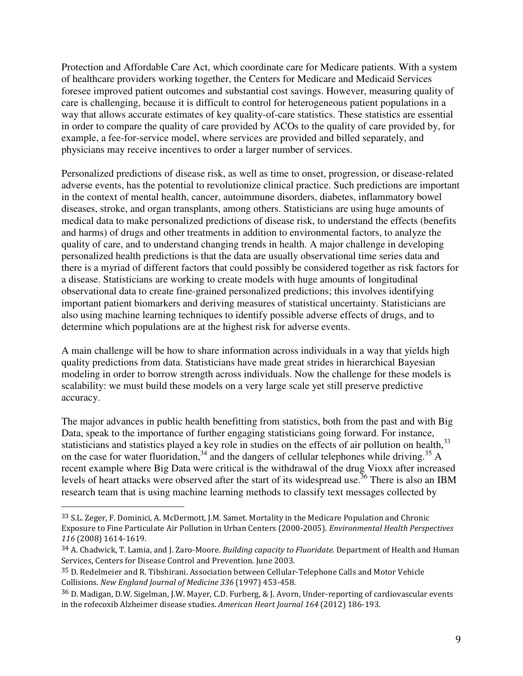Protection and Affordable Care Act, which coordinate care for Medicare patients. With a system of healthcare providers working together, the Centers for Medicare and Medicaid Services foresee improved patient outcomes and substantial cost savings. However, measuring quality of care is challenging, because it is difficult to control for heterogeneous patient populations in a way that allows accurate estimates of key quality-of-care statistics. These statistics are essential in order to compare the quality of care provided by ACOs to the quality of care provided by, for example, a fee-for-service model, where services are provided and billed separately, and physicians may receive incentives to order a larger number of services.

Personalized predictions of disease risk, as well as time to onset, progression, or disease-related adverse events, has the potential to revolutionize clinical practice. Such predictions are important in the context of mental health, cancer, autoimmune disorders, diabetes, inflammatory bowel diseases, stroke, and organ transplants, among others. Statisticians are using huge amounts of medical data to make personalized predictions of disease risk, to understand the effects (benefits and harms) of drugs and other treatments in addition to environmental factors, to analyze the quality of care, and to understand changing trends in health. A major challenge in developing personalized health predictions is that the data are usually observational time series data and there is a myriad of different factors that could possibly be considered together as risk factors for a disease. Statisticians are working to create models with huge amounts of longitudinal observational data to create fine-grained personalized predictions; this involves identifying important patient biomarkers and deriving measures of statistical uncertainty. Statisticians are also using machine learning techniques to identify possible adverse effects of drugs, and to determine which populations are at the highest risk for adverse events.

A main challenge will be how to share information across individuals in a way that yields high quality predictions from data. Statisticians have made great strides in hierarchical Bayesian modeling in order to borrow strength across individuals. Now the challenge for these models is scalability: we must build these models on a very large scale yet still preserve predictive accuracy.

The major advances in public health benefitting from statistics, both from the past and with Big Data, speak to the importance of further engaging statisticians going forward. For instance, statisticians and statistics played a key role in studies on the effects of air pollution on health,<sup>33</sup> on the case for water fluoridation,  $34$  and the dangers of cellular telephones while driving.  $35$  A recent example where Big Data were critical is the withdrawal of the drug Vioxx after increased levels of heart attacks were observed after the start of its widespread use.<sup>36</sup> There is also an IBM research team that is using machine learning methods to classify text messages collected by

<sup>33</sup> S.L. Zeger, F. Dominici, A. McDermott, J.M. Samet. Mortality in the Medicare Population and Chronic Exposure to Fine Particulate Air Pollution in Urban Centers (2000-2005). Environmental Health Perspectives 116 (2008) 1614-1619.

<sup>34</sup> A. Chadwick, T. Lamia, and J. Zaro-Moore. Building capacity to Fluoridate. Department of Health and Human Services, Centers for Disease Control and Prevention. June 2003.

<sup>35</sup> D. Redelmeier and R. Tibshirani. Association between Cellular-Telephone Calls and Motor Vehicle Collisions. New England Journal of Medicine 336 (1997) 453-458.

<sup>36</sup> D. Madigan, D.W. Sigelman, J.W. Mayer, C.D. Furberg, & J. Avorn, Under-reporting of cardiovascular events in the rofecoxib Alzheimer disease studies. American Heart Journal 164 (2012) 186-193.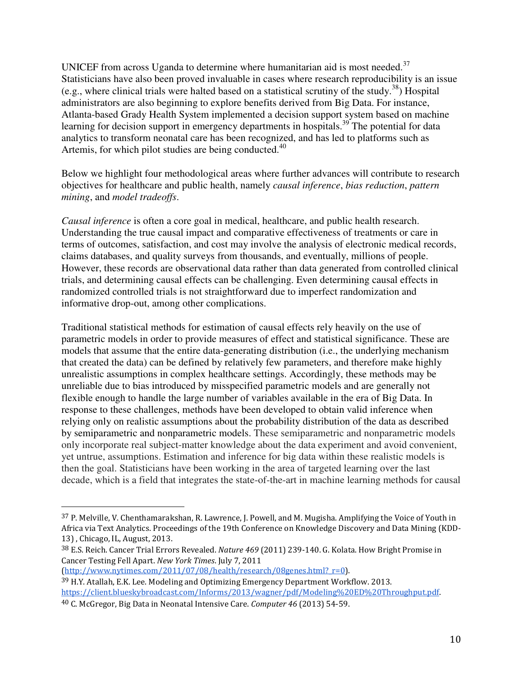UNICEF from across Uganda to determine where humanitarian aid is most needed.<sup>37</sup> Statisticians have also been proved invaluable in cases where research reproducibility is an issue (e.g., where clinical trials were halted based on a statistical scrutiny of the study.<sup>38</sup>) Hospital administrators are also beginning to explore benefits derived from Big Data. For instance, Atlanta-based Grady Health System implemented a decision support system based on machine learning for decision support in emergency departments in hospitals.<sup>39</sup> The potential for data analytics to transform neonatal care has been recognized, and has led to platforms such as Artemis, for which pilot studies are being conducted.<sup>40</sup>

Below we highlight four methodological areas where further advances will contribute to research objectives for healthcare and public health, namely *causal inference*, *bias reduction*, *pattern mining*, and *model tradeoffs*.

*Causal inference* is often a core goal in medical, healthcare, and public health research. Understanding the true causal impact and comparative effectiveness of treatments or care in terms of outcomes, satisfaction, and cost may involve the analysis of electronic medical records, claims databases, and quality surveys from thousands, and eventually, millions of people. However, these records are observational data rather than data generated from controlled clinical trials, and determining causal effects can be challenging. Even determining causal effects in randomized controlled trials is not straightforward due to imperfect randomization and informative drop-out, among other complications.

Traditional statistical methods for estimation of causal effects rely heavily on the use of parametric models in order to provide measures of effect and statistical significance. These are models that assume that the entire data-generating distribution (i.e., the underlying mechanism that created the data) can be defined by relatively few parameters, and therefore make highly unrealistic assumptions in complex healthcare settings. Accordingly, these methods may be unreliable due to bias introduced by misspecified parametric models and are generally not flexible enough to handle the large number of variables available in the era of Big Data. In response to these challenges, methods have been developed to obtain valid inference when relying only on realistic assumptions about the probability distribution of the data as described by semiparametric and nonparametric models. These semiparametric and nonparametric models only incorporate real subject-matter knowledge about the data experiment and avoid convenient, yet untrue, assumptions. Estimation and inference for big data within these realistic models is then the goal. Statisticians have been working in the area of targeted learning over the last decade, which is a field that integrates the state-of-the-art in machine learning methods for causal

(http://www.nytimes.com/2011/07/08/health/research/08genes.html?\_r=0).

<sup>37</sup> P. Melville, V. Chenthamarakshan, R. Lawrence, J. Powell, and M. Mugisha. Amplifying the Voice of Youth in Africa via Text Analytics. Proceedings of the 19th Conference on Knowledge Discovery and Data Mining (KDD-13) , Chicago, IL, August, 2013.

<sup>38</sup> E.S. Reich. Cancer Trial Errors Revealed. Nature 469 (2011) 239-140. G. Kolata. How Bright Promise in Cancer Testing Fell Apart. New York Times. July 7, 2011

<sup>39</sup> H.Y. Atallah, E.K. Lee. Modeling and Optimizing Emergency Department Workflow. 2013. https://client.blueskybroadcast.com/Informs/2013/wagner/pdf/Modeling%20ED%20Throughput.pdf.

<sup>40</sup> C. McGregor, Big Data in Neonatal Intensive Care. Computer 46 (2013) 54-59.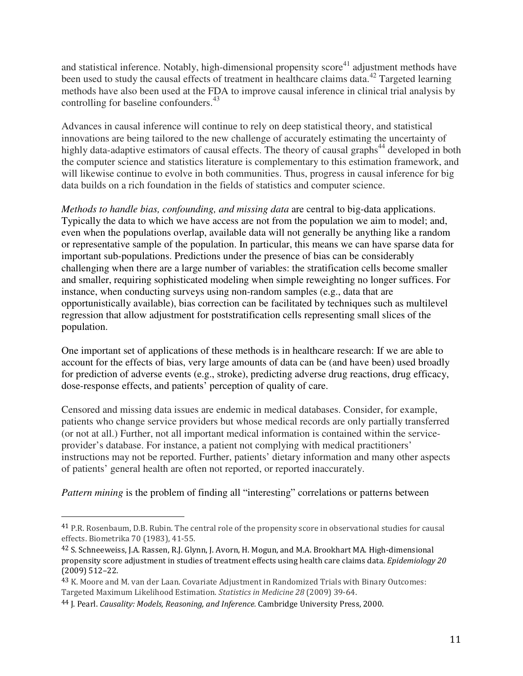and statistical inference. Notably, high-dimensional propensity  $score<sup>41</sup>$  adjustment methods have been used to study the causal effects of treatment in healthcare claims data.<sup>42</sup> Targeted learning methods have also been used at the FDA to improve causal inference in clinical trial analysis by controlling for baseline confounders.<sup>43</sup>

Advances in causal inference will continue to rely on deep statistical theory, and statistical innovations are being tailored to the new challenge of accurately estimating the uncertainty of highly data-adaptive estimators of causal effects. The theory of causal graphs<sup>44</sup> developed in both the computer science and statistics literature is complementary to this estimation framework, and will likewise continue to evolve in both communities. Thus, progress in causal inference for big data builds on a rich foundation in the fields of statistics and computer science.

*Methods to handle bias, confounding, and missing data* are central to big-data applications. Typically the data to which we have access are not from the population we aim to model; and, even when the populations overlap, available data will not generally be anything like a random or representative sample of the population. In particular, this means we can have sparse data for important sub-populations. Predictions under the presence of bias can be considerably challenging when there are a large number of variables: the stratification cells become smaller and smaller, requiring sophisticated modeling when simple reweighting no longer suffices. For instance, when conducting surveys using non-random samples (e.g., data that are opportunistically available), bias correction can be facilitated by techniques such as multilevel regression that allow adjustment for poststratification cells representing small slices of the population.

One important set of applications of these methods is in healthcare research: If we are able to account for the effects of bias, very large amounts of data can be (and have been) used broadly for prediction of adverse events (e.g., stroke), predicting adverse drug reactions, drug efficacy, dose-response effects, and patients' perception of quality of care.

Censored and missing data issues are endemic in medical databases. Consider, for example, patients who change service providers but whose medical records are only partially transferred (or not at all.) Further, not all important medical information is contained within the serviceprovider's database. For instance, a patient not complying with medical practitioners' instructions may not be reported. Further, patients' dietary information and many other aspects of patients' general health are often not reported, or reported inaccurately.

*Pattern mining* is the problem of finding all "interesting" correlations or patterns between

<sup>41</sup> P.R. Rosenbaum, D.B. Rubin. The central role of the propensity score in observational studies for causal effects. Biometrika 70 (1983), 41-55.

<sup>42</sup> S. Schneeweiss, J.A. Rassen, R.J. Glynn, J. Avorn, H. Mogun, and M.A. Brookhart MA. High-dimensional propensity score adjustment in studies of treatment effects using health care claims data. Epidemiology 20 (2009) 512–22.

<sup>43</sup> K. Moore and M. van der Laan. Covariate Adjustment in Randomized Trials with Binary Outcomes: Targeted Maximum Likelihood Estimation. Statistics in Medicine 28 (2009) 39-64.

<sup>44</sup> J. Pearl. Causality: Models, Reasoning, and Inference. Cambridge University Press, 2000.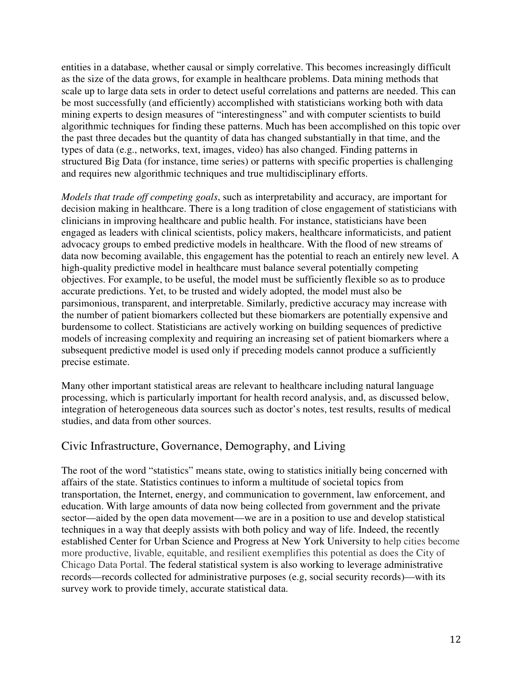entities in a database, whether causal or simply correlative. This becomes increasingly difficult as the size of the data grows, for example in healthcare problems. Data mining methods that scale up to large data sets in order to detect useful correlations and patterns are needed. This can be most successfully (and efficiently) accomplished with statisticians working both with data mining experts to design measures of "interestingness" and with computer scientists to build algorithmic techniques for finding these patterns. Much has been accomplished on this topic over the past three decades but the quantity of data has changed substantially in that time, and the types of data (e.g., networks, text, images, video) has also changed. Finding patterns in structured Big Data (for instance, time series) or patterns with specific properties is challenging and requires new algorithmic techniques and true multidisciplinary efforts.

*Models that trade off competing goals*, such as interpretability and accuracy, are important for decision making in healthcare. There is a long tradition of close engagement of statisticians with clinicians in improving healthcare and public health. For instance, statisticians have been engaged as leaders with clinical scientists, policy makers, healthcare informaticists, and patient advocacy groups to embed predictive models in healthcare. With the flood of new streams of data now becoming available, this engagement has the potential to reach an entirely new level. A high-quality predictive model in healthcare must balance several potentially competing objectives. For example, to be useful, the model must be sufficiently flexible so as to produce accurate predictions. Yet, to be trusted and widely adopted, the model must also be parsimonious, transparent, and interpretable. Similarly, predictive accuracy may increase with the number of patient biomarkers collected but these biomarkers are potentially expensive and burdensome to collect. Statisticians are actively working on building sequences of predictive models of increasing complexity and requiring an increasing set of patient biomarkers where a subsequent predictive model is used only if preceding models cannot produce a sufficiently precise estimate.

Many other important statistical areas are relevant to healthcare including natural language processing, which is particularly important for health record analysis, and, as discussed below, integration of heterogeneous data sources such as doctor's notes, test results, results of medical studies, and data from other sources.

#### Civic Infrastructure, Governance, Demography, and Living

The root of the word "statistics" means state, owing to statistics initially being concerned with affairs of the state. Statistics continues to inform a multitude of societal topics from transportation, the Internet, energy, and communication to government, law enforcement, and education. With large amounts of data now being collected from government and the private sector—aided by the open data movement—we are in a position to use and develop statistical techniques in a way that deeply assists with both policy and way of life. Indeed, the recently established Center for Urban Science and Progress at New York University to help cities become more productive, livable, equitable, and resilient exemplifies this potential as does the City of Chicago Data Portal. The federal statistical system is also working to leverage administrative records—records collected for administrative purposes (e.g, social security records)—with its survey work to provide timely, accurate statistical data.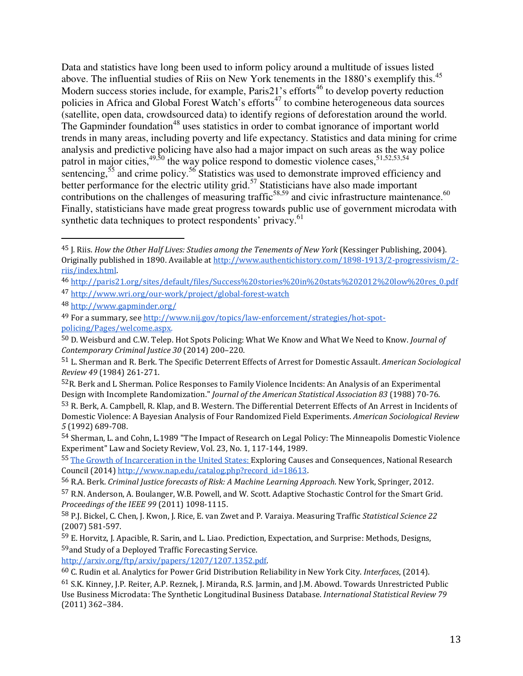Data and statistics have long been used to inform policy around a multitude of issues listed above. The influential studies of Riis on New York tenements in the 1880's exemplify this.<sup>45</sup> Modern success stories include, for example, Paris21's efforts<sup>46</sup> to develop poverty reduction policies in Africa and Global Forest Watch's efforts<sup>47</sup> to combine heterogeneous data sources (satellite, open data, crowdsourced data) to identify regions of deforestation around the world. The Gapminder foundation<sup>48</sup> uses statistics in order to combat ignorance of important world trends in many areas, including poverty and life expectancy. Statistics and data mining for crime analysis and predictive policing have also had a major impact on such areas as the way police patrol in major cities,  $49,50$  the way police respond to domestic violence cases,  $51,52,53,54$ sentencing,<sup>55</sup> and crime policy.<sup>56</sup> Statistics was used to demonstrate improved efficiency and better performance for the electric utility grid.<sup>57</sup> Statisticians have also made important contributions on the challenges of measuring traffic<sup>58,59</sup> and civic infrastructure maintenance.<sup>60</sup> Finally, statisticians have made great progress towards public use of government microdata with synthetic data techniques to protect respondents' privacy.<sup>61</sup>

- <sup>46</sup> http://paris21.org/sites/default/files/Success%20stories%20in%20stats%202012%20low%20res\_0.pdf
- <sup>47</sup> http://www.wri.org/our-work/project/global-forest-watch
- <sup>48</sup> http://www.gapminder.org/

 $\overline{a}$ 

<sup>49</sup> For a summary, see http://www.nij.gov/topics/law-enforcement/strategies/hot-spotpolicing/Pages/welcome.aspx.

<sup>52</sup>R. Berk and L Sherman. Police Responses to Family Violence Incidents: An Analysis of an Experimental Design with Incomplete Randomization." Journal of the American Statistical Association 83 (1988) 70-76.

http://arxiv.org/ftp/arxiv/papers/1207/1207.1352.pdf.

<sup>&</sup>lt;sup>45</sup> J. Riis. How the Other Half Lives: Studies among the Tenements of New York (Kessinger Publishing, 2004). Originally published in 1890. Available at http://www.authentichistory.com/1898-1913/2-progressivism/2 riis/index.html.

<sup>50</sup> D. Weisburd and C.W. Telep. Hot Spots Policing: What We Know and What We Need to Know. Journal of Contemporary Criminal Justice 30 (2014) 200–220.

<sup>51</sup> L. Sherman and R. Berk. The Specific Deterrent Effects of Arrest for Domestic Assault. American Sociological Review 49 (1984) 261-271.

<sup>53</sup> R. Berk, A. Campbell, R. Klap, and B. Western. The Differential Deterrent Effects of An Arrest in Incidents of Domestic Violence: A Bayesian Analysis of Four Randomized Field Experiments. American Sociological Review 5 (1992) 689-708.

<sup>54</sup> Sherman, L. and Cohn, L.1989 "The Impact of Research on Legal Policy: The Minneapolis Domestic Violence Experiment" Law and Society Review, Vol. 23, No. 1, 117-144, 1989.

<sup>55</sup> The Growth of Incarceration in the United States: Exploring Causes and Consequences, National Research Council (2014) http://www.nap.edu/catalog.php?record\_id=18613.

<sup>56</sup> R.A. Berk. Criminal Justice forecasts of Risk: A Machine Learning Approach. New York, Springer, 2012.

<sup>57</sup> R.N. Anderson, A. Boulanger, W.B. Powell, and W. Scott. Adaptive Stochastic Control for the Smart Grid. Proceedings of the IEEE 99 (2011) 1098-1115.

<sup>58</sup> P.J. Bickel, C. Chen, J. Kwon, J. Rice, E. van Zwet and P. Varaiya. Measuring Traffic Statistical Science 22 (2007) 581-597.

<sup>59</sup> E. Horvitz, J. Apacible, R. Sarin, and L. Liao. Prediction, Expectation, and Surprise: Methods, Designs, <sup>59</sup>and Study of a Deployed Traffic Forecasting Service.

<sup>60</sup> C. Rudin et al. Analytics for Power Grid Distribution Reliability in New York City. Interfaces, (2014).

<sup>61</sup> S.K. Kinney, J.P. Reiter, A.P. Reznek, J. Miranda, R.S. Jarmin, and J.M. Abowd. Towards Unrestricted Public Use Business Microdata: The Synthetic Longitudinal Business Database. International Statistical Review 79 (2011) 362–384.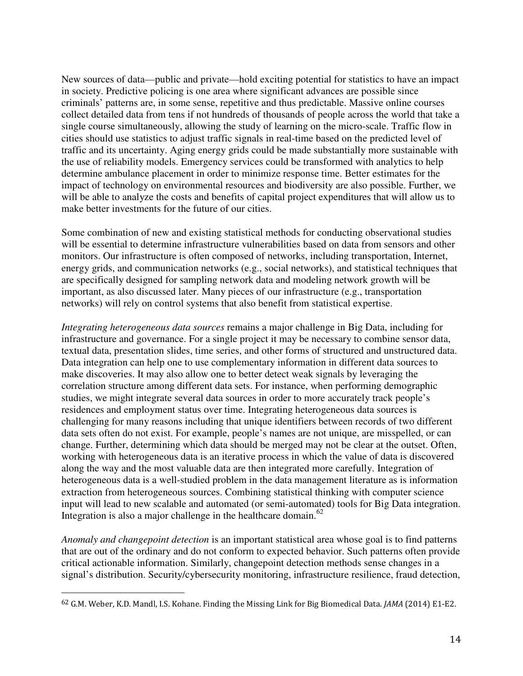New sources of data—public and private—hold exciting potential for statistics to have an impact in society. Predictive policing is one area where significant advances are possible since criminals' patterns are, in some sense, repetitive and thus predictable. Massive online courses collect detailed data from tens if not hundreds of thousands of people across the world that take a single course simultaneously, allowing the study of learning on the micro-scale. Traffic flow in cities should use statistics to adjust traffic signals in real-time based on the predicted level of traffic and its uncertainty. Aging energy grids could be made substantially more sustainable with the use of reliability models. Emergency services could be transformed with analytics to help determine ambulance placement in order to minimize response time. Better estimates for the impact of technology on environmental resources and biodiversity are also possible. Further, we will be able to analyze the costs and benefits of capital project expenditures that will allow us to make better investments for the future of our cities.

Some combination of new and existing statistical methods for conducting observational studies will be essential to determine infrastructure vulnerabilities based on data from sensors and other monitors. Our infrastructure is often composed of networks, including transportation, Internet, energy grids, and communication networks (e.g., social networks), and statistical techniques that are specifically designed for sampling network data and modeling network growth will be important, as also discussed later. Many pieces of our infrastructure (e.g., transportation networks) will rely on control systems that also benefit from statistical expertise.

*Integrating heterogeneous data sources* remains a major challenge in Big Data, including for infrastructure and governance. For a single project it may be necessary to combine sensor data, textual data, presentation slides, time series, and other forms of structured and unstructured data. Data integration can help one to use complementary information in different data sources to make discoveries. It may also allow one to better detect weak signals by leveraging the correlation structure among different data sets. For instance, when performing demographic studies, we might integrate several data sources in order to more accurately track people's residences and employment status over time. Integrating heterogeneous data sources is challenging for many reasons including that unique identifiers between records of two different data sets often do not exist. For example, people's names are not unique, are misspelled, or can change. Further, determining which data should be merged may not be clear at the outset. Often, working with heterogeneous data is an iterative process in which the value of data is discovered along the way and the most valuable data are then integrated more carefully. Integration of heterogeneous data is a well-studied problem in the data management literature as is information extraction from heterogeneous sources. Combining statistical thinking with computer science input will lead to new scalable and automated (or semi-automated) tools for Big Data integration. Integration is also a major challenge in the healthcare domain. $62$ 

*Anomaly and changepoint detection* is an important statistical area whose goal is to find patterns that are out of the ordinary and do not conform to expected behavior. Such patterns often provide critical actionable information. Similarly, changepoint detection methods sense changes in a signal's distribution. Security/cybersecurity monitoring, infrastructure resilience, fraud detection,

<sup>62</sup> G.M. Weber, K.D. Mandl, I.S. Kohane. Finding the Missing Link for Big Biomedical Data. JAMA (2014) E1-E2.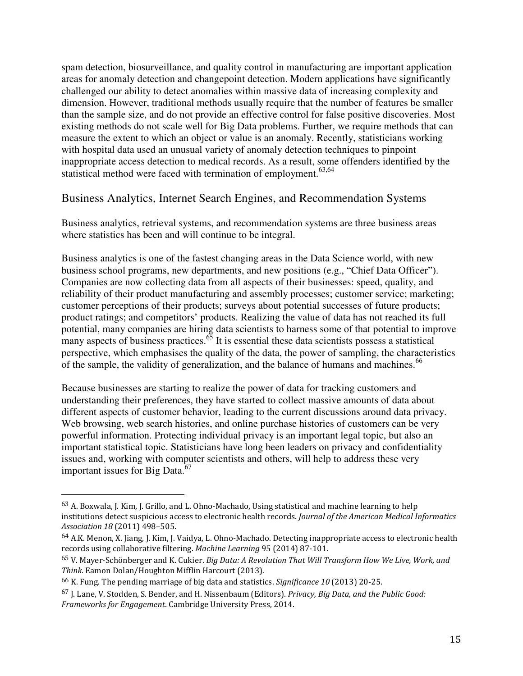spam detection, biosurveillance, and quality control in manufacturing are important application areas for anomaly detection and changepoint detection. Modern applications have significantly challenged our ability to detect anomalies within massive data of increasing complexity and dimension. However, traditional methods usually require that the number of features be smaller than the sample size, and do not provide an effective control for false positive discoveries. Most existing methods do not scale well for Big Data problems. Further, we require methods that can measure the extent to which an object or value is an anomaly. Recently, statisticians working with hospital data used an unusual variety of anomaly detection techniques to pinpoint inappropriate access detection to medical records. As a result, some offenders identified by the statistical method were faced with termination of employment.<sup>63,64</sup>

#### Business Analytics, Internet Search Engines, and Recommendation Systems

Business analytics, retrieval systems, and recommendation systems are three business areas where statistics has been and will continue to be integral.

Business analytics is one of the fastest changing areas in the Data Science world, with new business school programs, new departments, and new positions (e.g., "Chief Data Officer"). Companies are now collecting data from all aspects of their businesses: speed, quality, and reliability of their product manufacturing and assembly processes; customer service; marketing; customer perceptions of their products; surveys about potential successes of future products; product ratings; and competitors' products. Realizing the value of data has not reached its full potential, many companies are hiring data scientists to harness some of that potential to improve many aspects of business practices. $65$  It is essential these data scientists possess a statistical perspective, which emphasises the quality of the data, the power of sampling, the characteristics of the sample, the validity of generalization, and the balance of humans and machines.<sup>66</sup>

Because businesses are starting to realize the power of data for tracking customers and understanding their preferences, they have started to collect massive amounts of data about different aspects of customer behavior, leading to the current discussions around data privacy. Web browsing, web search histories, and online purchase histories of customers can be very powerful information. Protecting individual privacy is an important legal topic, but also an important statistical topic. Statisticians have long been leaders on privacy and confidentiality issues and, working with computer scientists and others, will help to address these very important issues for Big Data. $^{67}$ 

<sup>63</sup> A. Boxwala, J. Kim, J. Grillo, and L. Ohno-Machado, Using statistical and machine learning to help institutions detect suspicious access to electronic health records. Journal of the American Medical Informatics Association 18 (2011) 498–505.

<sup>64</sup> A.K. Menon, X. Jiang, J. Kim, J. Vaidya, L. Ohno-Machado. Detecting inappropriate access to electronic health records using collaborative filtering. Machine Learning 95 (2014) 87-101.

<sup>65</sup> V. Mayer-Schönberger and K. Cukier. Big Data: A Revolution That Will Transform How We Live, Work, and Think. Eamon Dolan/Houghton Mifflin Harcourt (2013).

<sup>66</sup> K. Fung. The pending marriage of big data and statistics. Significance 10 (2013) 20-25.

 $67$  J. Lane, V. Stodden, S. Bender, and H. Nissenbaum (Editors). *Privacy, Big Data, and the Public Good:* Frameworks for Engagement. Cambridge University Press, 2014.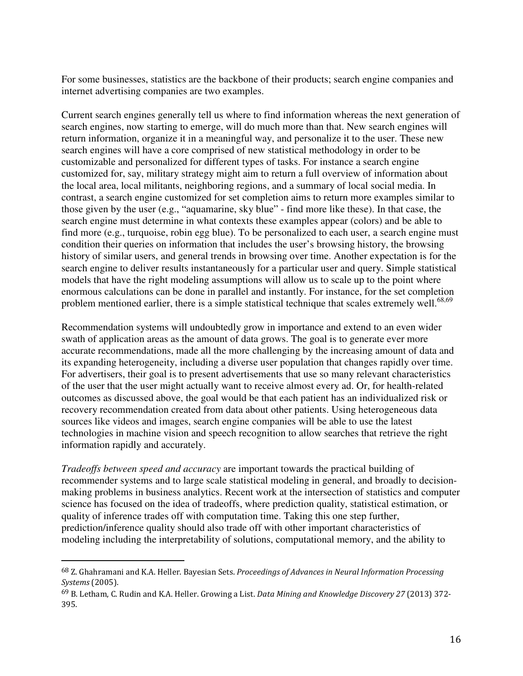For some businesses, statistics are the backbone of their products; search engine companies and internet advertising companies are two examples.

Current search engines generally tell us where to find information whereas the next generation of search engines, now starting to emerge, will do much more than that. New search engines will return information, organize it in a meaningful way, and personalize it to the user. These new search engines will have a core comprised of new statistical methodology in order to be customizable and personalized for different types of tasks. For instance a search engine customized for, say, military strategy might aim to return a full overview of information about the local area, local militants, neighboring regions, and a summary of local social media. In contrast, a search engine customized for set completion aims to return more examples similar to those given by the user (e.g., "aquamarine, sky blue" - find more like these). In that case, the search engine must determine in what contexts these examples appear (colors) and be able to find more (e.g., turquoise, robin egg blue). To be personalized to each user, a search engine must condition their queries on information that includes the user's browsing history, the browsing history of similar users, and general trends in browsing over time. Another expectation is for the search engine to deliver results instantaneously for a particular user and query. Simple statistical models that have the right modeling assumptions will allow us to scale up to the point where enormous calculations can be done in parallel and instantly. For instance, for the set completion problem mentioned earlier, there is a simple statistical technique that scales extremely well.<sup>68,69</sup>

Recommendation systems will undoubtedly grow in importance and extend to an even wider swath of application areas as the amount of data grows. The goal is to generate ever more accurate recommendations, made all the more challenging by the increasing amount of data and its expanding heterogeneity, including a diverse user population that changes rapidly over time. For advertisers, their goal is to present advertisements that use so many relevant characteristics of the user that the user might actually want to receive almost every ad. Or, for health-related outcomes as discussed above, the goal would be that each patient has an individualized risk or recovery recommendation created from data about other patients. Using heterogeneous data sources like videos and images, search engine companies will be able to use the latest technologies in machine vision and speech recognition to allow searches that retrieve the right information rapidly and accurately.

*Tradeoffs between speed and accuracy* are important towards the practical building of recommender systems and to large scale statistical modeling in general, and broadly to decisionmaking problems in business analytics. Recent work at the intersection of statistics and computer science has focused on the idea of tradeoffs, where prediction quality, statistical estimation, or quality of inference trades off with computation time. Taking this one step further, prediction/inference quality should also trade off with other important characteristics of modeling including the interpretability of solutions, computational memory, and the ability to

<sup>&</sup>lt;sup>68</sup> Z. Ghahramani and K.A. Heller. Bayesian Sets. *Proceedings of Advances in Neural Information Processing* Systems (2005).

<sup>69</sup> B. Letham, C. Rudin and K.A. Heller. Growing a List. Data Mining and Knowledge Discovery 27 (2013) 372- 395.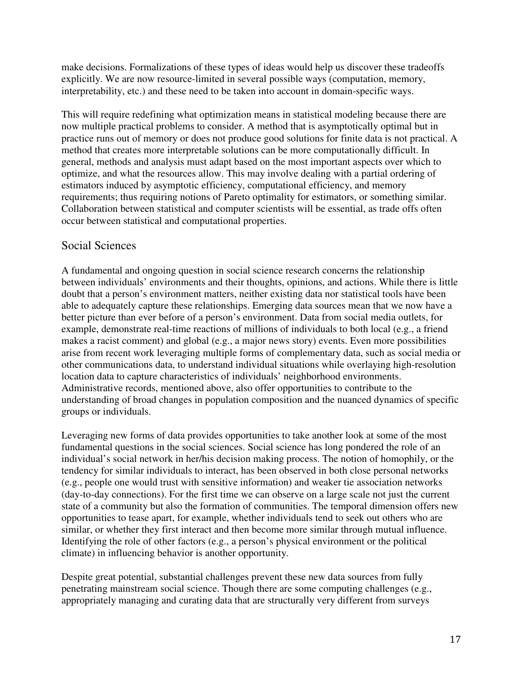make decisions. Formalizations of these types of ideas would help us discover these tradeoffs explicitly. We are now resource-limited in several possible ways (computation, memory, interpretability, etc.) and these need to be taken into account in domain-specific ways.

This will require redefining what optimization means in statistical modeling because there are now multiple practical problems to consider. A method that is asymptotically optimal but in practice runs out of memory or does not produce good solutions for finite data is not practical. A method that creates more interpretable solutions can be more computationally difficult. In general, methods and analysis must adapt based on the most important aspects over which to optimize, and what the resources allow. This may involve dealing with a partial ordering of estimators induced by asymptotic efficiency, computational efficiency, and memory requirements; thus requiring notions of Pareto optimality for estimators, or something similar. Collaboration between statistical and computer scientists will be essential, as trade offs often occur between statistical and computational properties.

#### Social Sciences

A fundamental and ongoing question in social science research concerns the relationship between individuals' environments and their thoughts, opinions, and actions. While there is little doubt that a person's environment matters, neither existing data nor statistical tools have been able to adequately capture these relationships. Emerging data sources mean that we now have a better picture than ever before of a person's environment. Data from social media outlets, for example, demonstrate real-time reactions of millions of individuals to both local (e.g., a friend makes a racist comment) and global (e.g., a major news story) events. Even more possibilities arise from recent work leveraging multiple forms of complementary data, such as social media or other communications data, to understand individual situations while overlaying high-resolution location data to capture characteristics of individuals' neighborhood environments. Administrative records, mentioned above, also offer opportunities to contribute to the understanding of broad changes in population composition and the nuanced dynamics of specific groups or individuals.

Leveraging new forms of data provides opportunities to take another look at some of the most fundamental questions in the social sciences. Social science has long pondered the role of an individual's social network in her/his decision making process. The notion of homophily, or the tendency for similar individuals to interact, has been observed in both close personal networks (e.g., people one would trust with sensitive information) and weaker tie association networks (day-to-day connections). For the first time we can observe on a large scale not just the current state of a community but also the formation of communities. The temporal dimension offers new opportunities to tease apart, for example, whether individuals tend to seek out others who are similar, or whether they first interact and then become more similar through mutual influence. Identifying the role of other factors (e.g., a person's physical environment or the political climate) in influencing behavior is another opportunity.

Despite great potential, substantial challenges prevent these new data sources from fully penetrating mainstream social science. Though there are some computing challenges (e.g., appropriately managing and curating data that are structurally very different from surveys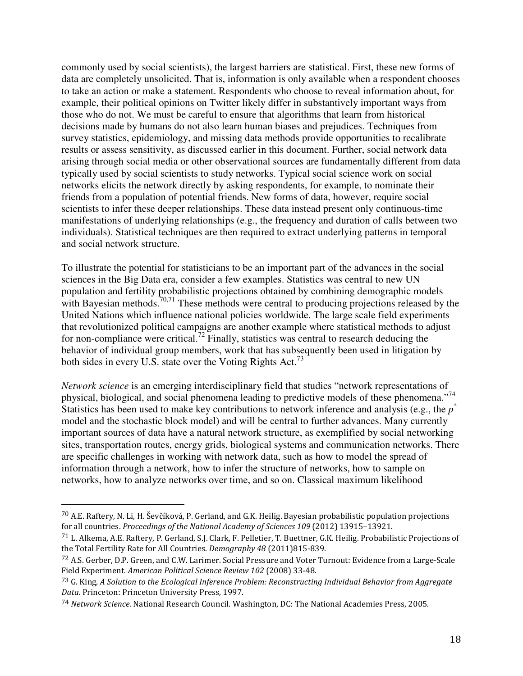commonly used by social scientists), the largest barriers are statistical. First, these new forms of data are completely unsolicited. That is, information is only available when a respondent chooses to take an action or make a statement. Respondents who choose to reveal information about, for example, their political opinions on Twitter likely differ in substantively important ways from those who do not. We must be careful to ensure that algorithms that learn from historical decisions made by humans do not also learn human biases and prejudices. Techniques from survey statistics, epidemiology, and missing data methods provide opportunities to recalibrate results or assess sensitivity, as discussed earlier in this document. Further, social network data arising through social media or other observational sources are fundamentally different from data typically used by social scientists to study networks. Typical social science work on social networks elicits the network directly by asking respondents, for example, to nominate their friends from a population of potential friends. New forms of data, however, require social scientists to infer these deeper relationships. These data instead present only continuous-time manifestations of underlying relationships (e.g., the frequency and duration of calls between two individuals). Statistical techniques are then required to extract underlying patterns in temporal and social network structure.

To illustrate the potential for statisticians to be an important part of the advances in the social sciences in the Big Data era, consider a few examples. Statistics was central to new UN population and fertility probabilistic projections obtained by combining demographic models with Bayesian methods.<sup>70,71</sup> These methods were central to producing projections released by the United Nations which influence national policies worldwide. The large scale field experiments that revolutionized political campaigns are another example where statistical methods to adjust for non-compliance were critical.<sup>72</sup> Finally, statistics was central to research deducing the behavior of individual group members, work that has subsequently been used in litigation by both sides in every U.S. state over the Voting Rights Act.<sup>73</sup>

*Network science* is an emerging interdisciplinary field that studies "network representations of physical, biological, and social phenomena leading to predictive models of these phenomena."<sup>74</sup> Statistics has been used to make key contributions to network inference and analysis (e.g., the *p*<sup>\*</sup> model and the stochastic block model) and will be central to further advances. Many currently important sources of data have a natural network structure, as exemplified by social networking sites, transportation routes, energy grids, biological systems and communication networks. There are specific challenges in working with network data, such as how to model the spread of information through a network, how to infer the structure of networks, how to sample on networks, how to analyze networks over time, and so on. Classical maximum likelihood

<sup>70</sup> A.E. Raftery, N. Li, H. Ševčíková, P. Gerland, and G.K. Heilig. Bayesian probabilistic population projections for all countries. Proceedings of the National Academy of Sciences 109 (2012) 13915–13921.

<sup>71</sup> L. Alkema, A.E. Raftery, P. Gerland, S.J. Clark, F. Pelletier, T. Buettner, G.K. Heilig. Probabilistic Projections of the Total Fertility Rate for All Countries. Demography 48 (2011)815-839.

<sup>72</sup> A.S. Gerber, D.P. Green, and C.W. Larimer. Social Pressure and Voter Turnout: Evidence from a Large-Scale Field Experiment. American Political Science Review 102 (2008) 33-48.

<sup>&</sup>lt;sup>73</sup> G. King, A Solution to the Ecological Inference Problem: Reconstructing Individual Behavior from Aggregate Data. Princeton: Princeton University Press, 1997.

<sup>74</sup> Network Science. National Research Council. Washington, DC: The National Academies Press, 2005.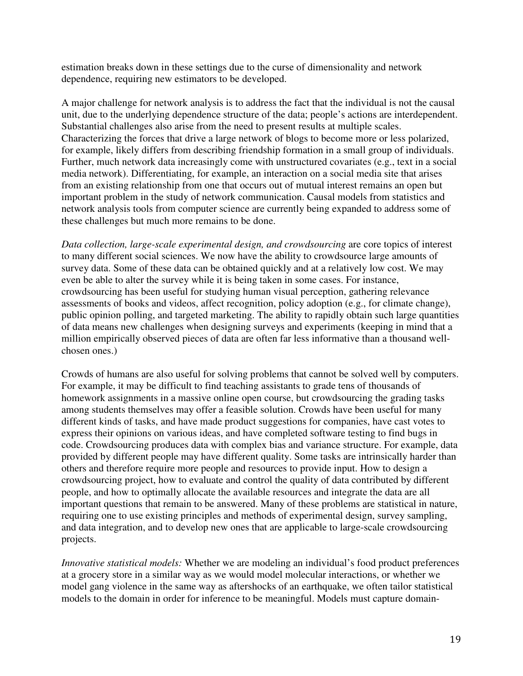estimation breaks down in these settings due to the curse of dimensionality and network dependence, requiring new estimators to be developed.

A major challenge for network analysis is to address the fact that the individual is not the causal unit, due to the underlying dependence structure of the data; people's actions are interdependent. Substantial challenges also arise from the need to present results at multiple scales. Characterizing the forces that drive a large network of blogs to become more or less polarized, for example, likely differs from describing friendship formation in a small group of individuals. Further, much network data increasingly come with unstructured covariates (e.g., text in a social media network). Differentiating, for example, an interaction on a social media site that arises from an existing relationship from one that occurs out of mutual interest remains an open but important problem in the study of network communication. Causal models from statistics and network analysis tools from computer science are currently being expanded to address some of these challenges but much more remains to be done.

*Data collection, large-scale experimental design, and crowdsourcing* are core topics of interest to many different social sciences. We now have the ability to crowdsource large amounts of survey data. Some of these data can be obtained quickly and at a relatively low cost. We may even be able to alter the survey while it is being taken in some cases. For instance, crowdsourcing has been useful for studying human visual perception, gathering relevance assessments of books and videos, affect recognition, policy adoption (e.g., for climate change), public opinion polling, and targeted marketing. The ability to rapidly obtain such large quantities of data means new challenges when designing surveys and experiments (keeping in mind that a million empirically observed pieces of data are often far less informative than a thousand wellchosen ones.)

Crowds of humans are also useful for solving problems that cannot be solved well by computers. For example, it may be difficult to find teaching assistants to grade tens of thousands of homework assignments in a massive online open course, but crowdsourcing the grading tasks among students themselves may offer a feasible solution. Crowds have been useful for many different kinds of tasks, and have made product suggestions for companies, have cast votes to express their opinions on various ideas, and have completed software testing to find bugs in code. Crowdsourcing produces data with complex bias and variance structure. For example, data provided by different people may have different quality. Some tasks are intrinsically harder than others and therefore require more people and resources to provide input. How to design a crowdsourcing project, how to evaluate and control the quality of data contributed by different people, and how to optimally allocate the available resources and integrate the data are all important questions that remain to be answered. Many of these problems are statistical in nature, requiring one to use existing principles and methods of experimental design, survey sampling, and data integration, and to develop new ones that are applicable to large-scale crowdsourcing projects.

*Innovative statistical models:* Whether we are modeling an individual's food product preferences at a grocery store in a similar way as we would model molecular interactions, or whether we model gang violence in the same way as aftershocks of an earthquake, we often tailor statistical models to the domain in order for inference to be meaningful. Models must capture domain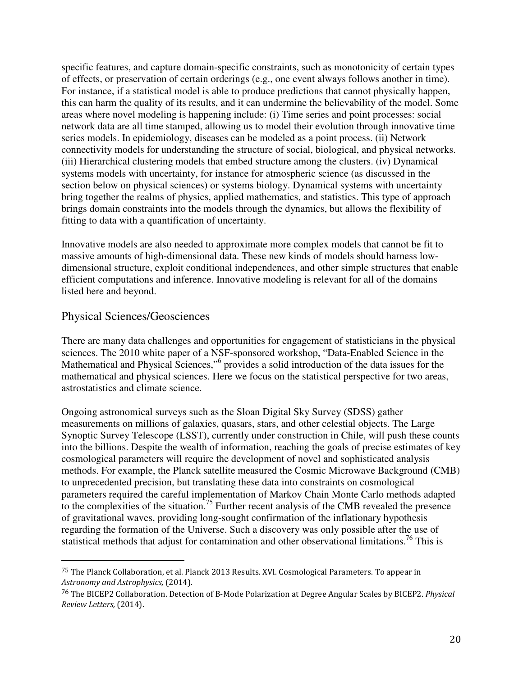specific features, and capture domain-specific constraints, such as monotonicity of certain types of effects, or preservation of certain orderings (e.g., one event always follows another in time). For instance, if a statistical model is able to produce predictions that cannot physically happen, this can harm the quality of its results, and it can undermine the believability of the model. Some areas where novel modeling is happening include: (i) Time series and point processes: social network data are all time stamped, allowing us to model their evolution through innovative time series models. In epidemiology, diseases can be modeled as a point process. (ii) Network connectivity models for understanding the structure of social, biological, and physical networks. (iii) Hierarchical clustering models that embed structure among the clusters. (iv) Dynamical systems models with uncertainty, for instance for atmospheric science (as discussed in the section below on physical sciences) or systems biology. Dynamical systems with uncertainty bring together the realms of physics, applied mathematics, and statistics. This type of approach brings domain constraints into the models through the dynamics, but allows the flexibility of fitting to data with a quantification of uncertainty.

Innovative models are also needed to approximate more complex models that cannot be fit to massive amounts of high-dimensional data. These new kinds of models should harness lowdimensional structure, exploit conditional independences, and other simple structures that enable efficient computations and inference. Innovative modeling is relevant for all of the domains listed here and beyond.

#### Physical Sciences/Geosciences

 $\overline{a}$ 

There are many data challenges and opportunities for engagement of statisticians in the physical sciences. The 2010 white paper of a NSF-sponsored workshop, "Data-Enabled Science in the Mathematical and Physical Sciences,"<sup>6</sup> provides a solid introduction of the data issues for the mathematical and physical sciences. Here we focus on the statistical perspective for two areas, astrostatistics and climate science.

Ongoing astronomical surveys such as the Sloan Digital Sky Survey (SDSS) gather measurements on millions of galaxies, quasars, stars, and other celestial objects. The Large Synoptic Survey Telescope (LSST), currently under construction in Chile, will push these counts into the billions. Despite the wealth of information, reaching the goals of precise estimates of key cosmological parameters will require the development of novel and sophisticated analysis methods. For example, the Planck satellite measured the Cosmic Microwave Background (CMB) to unprecedented precision, but translating these data into constraints on cosmological parameters required the careful implementation of Markov Chain Monte Carlo methods adapted to the complexities of the situation.<sup>75</sup> Further recent analysis of the CMB revealed the presence of gravitational waves, providing long-sought confirmation of the inflationary hypothesis regarding the formation of the Universe. Such a discovery was only possible after the use of statistical methods that adjust for contamination and other observational limitations.<sup>76</sup> This is

<sup>75</sup> The Planck Collaboration, et al. Planck 2013 Results. XVI. Cosmological Parameters. To appear in Astronomy and Astrophysics, (2014).

<sup>76</sup> The BICEP2 Collaboration. Detection of B-Mode Polarization at Degree Angular Scales by BICEP2. Physical Review Letters, (2014).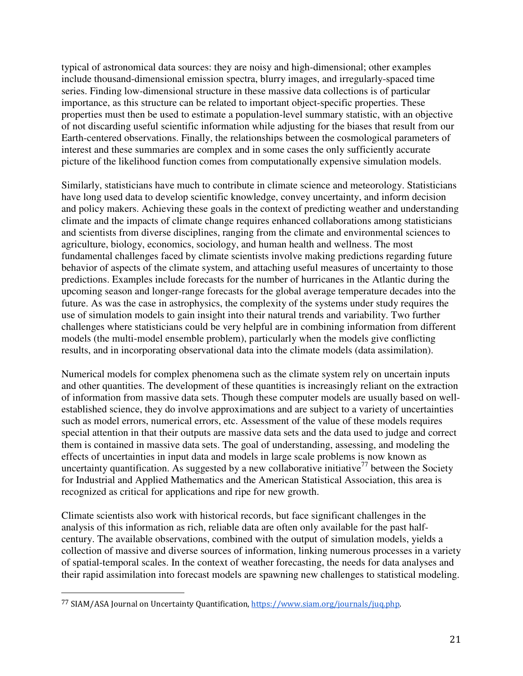typical of astronomical data sources: they are noisy and high-dimensional; other examples include thousand-dimensional emission spectra, blurry images, and irregularly-spaced time series. Finding low-dimensional structure in these massive data collections is of particular importance, as this structure can be related to important object-specific properties. These properties must then be used to estimate a population-level summary statistic, with an objective of not discarding useful scientific information while adjusting for the biases that result from our Earth-centered observations. Finally, the relationships between the cosmological parameters of interest and these summaries are complex and in some cases the only sufficiently accurate picture of the likelihood function comes from computationally expensive simulation models.

Similarly, statisticians have much to contribute in climate science and meteorology. Statisticians have long used data to develop scientific knowledge, convey uncertainty, and inform decision and policy makers. Achieving these goals in the context of predicting weather and understanding climate and the impacts of climate change requires enhanced collaborations among statisticians and scientists from diverse disciplines, ranging from the climate and environmental sciences to agriculture, biology, economics, sociology, and human health and wellness. The most fundamental challenges faced by climate scientists involve making predictions regarding future behavior of aspects of the climate system, and attaching useful measures of uncertainty to those predictions. Examples include forecasts for the number of hurricanes in the Atlantic during the upcoming season and longer-range forecasts for the global average temperature decades into the future. As was the case in astrophysics, the complexity of the systems under study requires the use of simulation models to gain insight into their natural trends and variability. Two further challenges where statisticians could be very helpful are in combining information from different models (the multi-model ensemble problem), particularly when the models give conflicting results, and in incorporating observational data into the climate models (data assimilation).

Numerical models for complex phenomena such as the climate system rely on uncertain inputs and other quantities. The development of these quantities is increasingly reliant on the extraction of information from massive data sets. Though these computer models are usually based on wellestablished science, they do involve approximations and are subject to a variety of uncertainties such as model errors, numerical errors, etc. Assessment of the value of these models requires special attention in that their outputs are massive data sets and the data used to judge and correct them is contained in massive data sets. The goal of understanding, assessing, and modeling the effects of uncertainties in input data and models in large scale problems is now known as uncertainty quantification. As suggested by a new collaborative initiative<sup>77</sup> between the Society for Industrial and Applied Mathematics and the American Statistical Association, this area is recognized as critical for applications and ripe for new growth.

Climate scientists also work with historical records, but face significant challenges in the analysis of this information as rich, reliable data are often only available for the past halfcentury. The available observations, combined with the output of simulation models, yields a collection of massive and diverse sources of information, linking numerous processes in a variety of spatial-temporal scales. In the context of weather forecasting, the needs for data analyses and their rapid assimilation into forecast models are spawning new challenges to statistical modeling.

<sup>77</sup> SIAM/ASA Journal on Uncertainty Quantification, https://www.siam.org/journals/juq.php.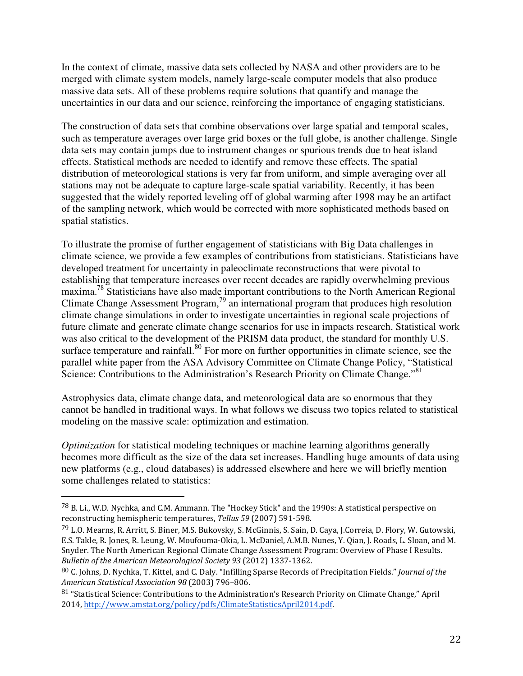In the context of climate, massive data sets collected by NASA and other providers are to be merged with climate system models, namely large-scale computer models that also produce massive data sets. All of these problems require solutions that quantify and manage the uncertainties in our data and our science, reinforcing the importance of engaging statisticians.

The construction of data sets that combine observations over large spatial and temporal scales, such as temperature averages over large grid boxes or the full globe, is another challenge. Single data sets may contain jumps due to instrument changes or spurious trends due to heat island effects. Statistical methods are needed to identify and remove these effects. The spatial distribution of meteorological stations is very far from uniform, and simple averaging over all stations may not be adequate to capture large-scale spatial variability. Recently, it has been suggested that the widely reported leveling off of global warming after 1998 may be an artifact of the sampling network, which would be corrected with more sophisticated methods based on spatial statistics.

To illustrate the promise of further engagement of statisticians with Big Data challenges in climate science, we provide a few examples of contributions from statisticians. Statisticians have developed treatment for uncertainty in paleoclimate reconstructions that were pivotal to establishing that temperature increases over recent decades are rapidly overwhelming previous maxima.<sup>78</sup> Statisticians have also made important contributions to the North American Regional Climate Change Assessment Program,<sup>79</sup> an international program that produces high resolution climate change simulations in order to investigate uncertainties in regional scale projections of future climate and generate climate change scenarios for use in impacts research. Statistical work was also critical to the development of the PRISM data product, the standard for monthly U.S. surface temperature and rainfall.<sup>80</sup> For more on further opportunities in climate science, see the parallel white paper from the ASA Advisory Committee on Climate Change Policy, "Statistical Science: Contributions to the Administration's Research Priority on Climate Change."<sup>81</sup>

Astrophysics data, climate change data, and meteorological data are so enormous that they cannot be handled in traditional ways. In what follows we discuss two topics related to statistical modeling on the massive scale: optimization and estimation.

*Optimization* for statistical modeling techniques or machine learning algorithms generally becomes more difficult as the size of the data set increases. Handling huge amounts of data using new platforms (e.g., cloud databases) is addressed elsewhere and here we will briefly mention some challenges related to statistics:

<sup>78</sup> B. Li., W.D. Nychka, and C.M. Ammann. The "Hockey Stick" and the 1990s: A statistical perspective on reconstructing hemispheric temperatures, Tellus 59 (2007) 591-598.

<sup>79</sup> L.O. Mearns, R. Arritt, S. Biner, M.S. Bukovsky, S. McGinnis, S. Sain, D. Caya, J.Correia, D. Flory, W. Gutowski, E.S. Takle, R. Jones, R. Leung, W. Moufouma-Okia, L. McDaniel, A.M.B. Nunes, Y. Qian, J. Roads, L. Sloan, and M. Snyder. The North American Regional Climate Change Assessment Program: Overview of Phase I Results. Bulletin of the American Meteorological Society 93 (2012) 1337-1362.

<sup>80</sup> C. Johns, D. Nychka, T. Kittel, and C. Daly. "Infilling Sparse Records of Precipitation Fields." Journal of the American Statistical Association 98 (2003) 796–806.

<sup>81</sup> "Statistical Science: Contributions to the Administration's Research Priority on Climate Change," April 2014, http://www.amstat.org/policy/pdfs/ClimateStatisticsApril2014.pdf.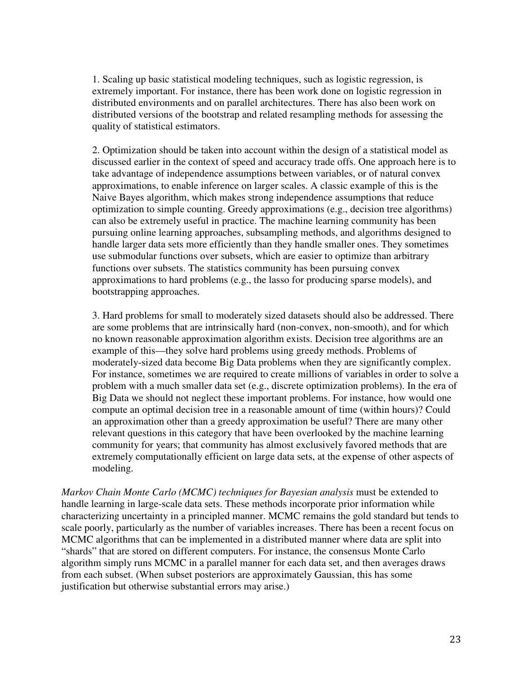1. Scaling up basic statistical modeling techniques, such as logistic regression, is extremely important. For instance, there has been work done on logistic regression in distributed environments and on parallel architectures. There has also been work on distributed versions of the bootstrap and related resampling methods for assessing the quality of statistical estimators.

2. Optimization should be taken into account within the design of a statistical model as discussed earlier in the context of speed and accuracy trade offs. One approach here is to take advantage of independence assumptions between variables, or of natural convex approximations, to enable inference on larger scales. A classic example of this is the Naive Bayes algorithm, which makes strong independence assumptions that reduce optimization to simple counting. Greedy approximations (e.g., decision tree algorithms) can also be extremely useful in practice. The machine learning community has been pursuing online learning approaches, subsampling methods, and algorithms designed to handle larger data sets more efficiently than they handle smaller ones. They sometimes use submodular functions over subsets, which are easier to optimize than arbitrary functions over subsets. The statistics community has been pursuing convex approximations to hard problems (e.g., the lasso for producing sparse models), and bootstrapping approaches.

3. Hard problems for small to moderately sized datasets should also be addressed. There are some problems that are intrinsically hard (non-convex, non-smooth), and for which no known reasonable approximation algorithm exists. Decision tree algorithms are an example of this—they solve hard problems using greedy methods. Problems of moderately-sized data become Big Data problems when they are significantly complex. For instance, sometimes we are required to create millions of variables in order to solve a problem with a much smaller data set (e.g., discrete optimization problems). In the era of Big Data we should not neglect these important problems. For instance, how would one compute an optimal decision tree in a reasonable amount of time (within hours)? Could an approximation other than a greedy approximation be useful? There are many other relevant questions in this category that have been overlooked by the machine learning community for years; that community has almost exclusively favored methods that are extremely computationally efficient on large data sets, at the expense of other aspects of modeling.

*Markov Chain Monte Carlo (MCMC) techniques for Bayesian analysis* must be extended to handle learning in large-scale data sets. These methods incorporate prior information while characterizing uncertainty in a principled manner. MCMC remains the gold standard but tends to scale poorly, particularly as the number of variables increases. There has been a recent focus on MCMC algorithms that can be implemented in a distributed manner where data are split into "shards" that are stored on different computers. For instance, the consensus Monte Carlo algorithm simply runs MCMC in a parallel manner for each data set, and then averages draws from each subset. (When subset posteriors are approximately Gaussian, this has some justification but otherwise substantial errors may arise.)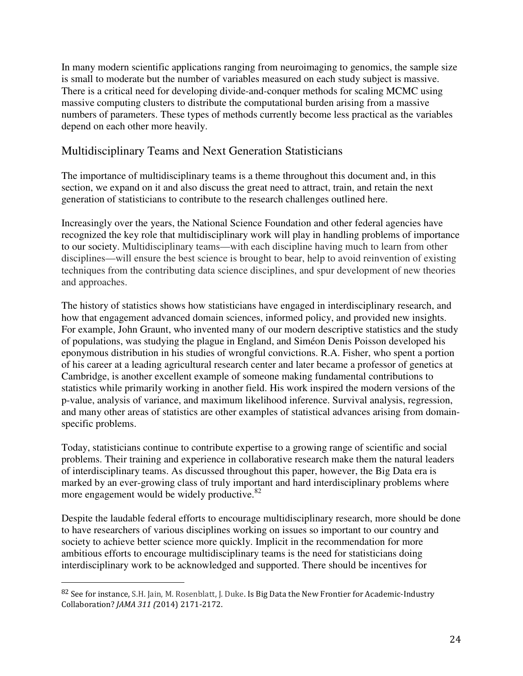In many modern scientific applications ranging from neuroimaging to genomics, the sample size is small to moderate but the number of variables measured on each study subject is massive. There is a critical need for developing divide-and-conquer methods for scaling MCMC using massive computing clusters to distribute the computational burden arising from a massive numbers of parameters. These types of methods currently become less practical as the variables depend on each other more heavily.

#### Multidisciplinary Teams and Next Generation Statisticians

The importance of multidisciplinary teams is a theme throughout this document and, in this section, we expand on it and also discuss the great need to attract, train, and retain the next generation of statisticians to contribute to the research challenges outlined here.

Increasingly over the years, the National Science Foundation and other federal agencies have recognized the key role that multidisciplinary work will play in handling problems of importance to our society. Multidisciplinary teams—with each discipline having much to learn from other disciplines—will ensure the best science is brought to bear, help to avoid reinvention of existing techniques from the contributing data science disciplines, and spur development of new theories and approaches.

The history of statistics shows how statisticians have engaged in interdisciplinary research, and how that engagement advanced domain sciences, informed policy, and provided new insights. For example, John Graunt, who invented many of our modern descriptive statistics and the study of populations, was studying the plague in England, and Siméon Denis Poisson developed his eponymous distribution in his studies of wrongful convictions. R.A. Fisher, who spent a portion of his career at a leading agricultural research center and later became a professor of genetics at Cambridge, is another excellent example of someone making fundamental contributions to statistics while primarily working in another field. His work inspired the modern versions of the p-value, analysis of variance, and maximum likelihood inference. Survival analysis, regression, and many other areas of statistics are other examples of statistical advances arising from domainspecific problems.

Today, statisticians continue to contribute expertise to a growing range of scientific and social problems. Their training and experience in collaborative research make them the natural leaders of interdisciplinary teams. As discussed throughout this paper, however, the Big Data era is marked by an ever-growing class of truly important and hard interdisciplinary problems where more engagement would be widely productive.<sup>82</sup>

Despite the laudable federal efforts to encourage multidisciplinary research, more should be done to have researchers of various disciplines working on issues so important to our country and society to achieve better science more quickly. Implicit in the recommendation for more ambitious efforts to encourage multidisciplinary teams is the need for statisticians doing interdisciplinary work to be acknowledged and supported. There should be incentives for

<sup>82</sup> See for instance, S.H. Jain, M. Rosenblatt, J. Duke. Is Big Data the New Frontier for Academic-Industry Collaboration? JAMA 311 (2014) 2171-2172.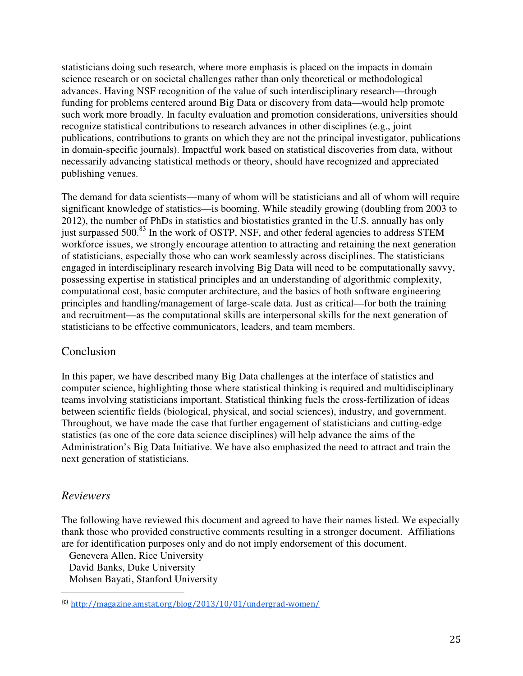statisticians doing such research, where more emphasis is placed on the impacts in domain science research or on societal challenges rather than only theoretical or methodological advances. Having NSF recognition of the value of such interdisciplinary research—through funding for problems centered around Big Data or discovery from data—would help promote such work more broadly. In faculty evaluation and promotion considerations, universities should recognize statistical contributions to research advances in other disciplines (e.g., joint publications, contributions to grants on which they are not the principal investigator, publications in domain-specific journals). Impactful work based on statistical discoveries from data, without necessarily advancing statistical methods or theory, should have recognized and appreciated publishing venues.

The demand for data scientists—many of whom will be statisticians and all of whom will require significant knowledge of statistics—is booming. While steadily growing (doubling from 2003 to 2012), the number of PhDs in statistics and biostatistics granted in the U.S. annually has only just surpassed 500.83 In the work of OSTP, NSF, and other federal agencies to address STEM workforce issues, we strongly encourage attention to attracting and retaining the next generation of statisticians, especially those who can work seamlessly across disciplines. The statisticians engaged in interdisciplinary research involving Big Data will need to be computationally savvy, possessing expertise in statistical principles and an understanding of algorithmic complexity, computational cost, basic computer architecture, and the basics of both software engineering principles and handling/management of large-scale data. Just as critical—for both the training and recruitment—as the computational skills are interpersonal skills for the next generation of statisticians to be effective communicators, leaders, and team members.

#### Conclusion

In this paper, we have described many Big Data challenges at the interface of statistics and computer science, highlighting those where statistical thinking is required and multidisciplinary teams involving statisticians important. Statistical thinking fuels the cross-fertilization of ideas between scientific fields (biological, physical, and social sciences), industry, and government. Throughout, we have made the case that further engagement of statisticians and cutting-edge statistics (as one of the core data science disciplines) will help advance the aims of the Administration's Big Data Initiative. We have also emphasized the need to attract and train the next generation of statisticians.

#### *Reviewers*

 $\overline{a}$ 

The following have reviewed this document and agreed to have their names listed. We especially thank those who provided constructive comments resulting in a stronger document. Affiliations are for identification purposes only and do not imply endorsement of this document.

Genevera Allen, Rice University David Banks, Duke University Mohsen Bayati, Stanford University

<sup>83</sup> http://magazine.amstat.org/blog/2013/10/01/undergrad-women/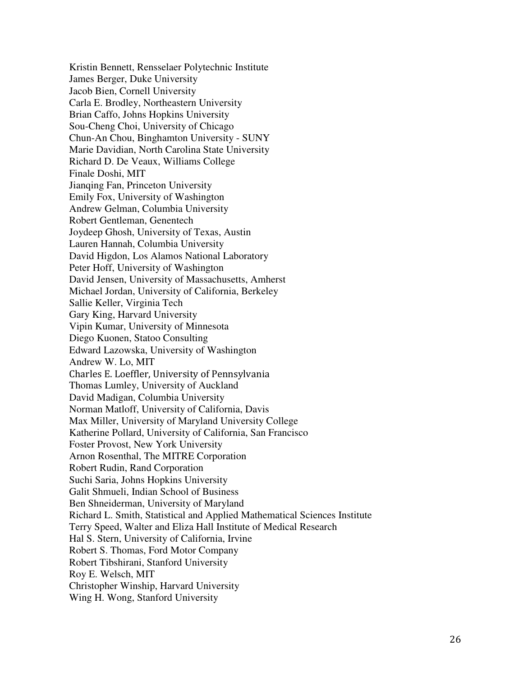Kristin Bennett, Rensselaer Polytechnic Institute James Berger, Duke University Jacob Bien, Cornell University Carla E. Brodley, Northeastern University Brian Caffo, Johns Hopkins University Sou-Cheng Choi, University of Chicago Chun-An Chou, Binghamton University - SUNY Marie Davidian, North Carolina State University Richard D. De Veaux, Williams College Finale Doshi, MIT Jianqing Fan, Princeton University Emily Fox, University of Washington Andrew Gelman, Columbia University Robert Gentleman, Genentech Joydeep Ghosh, University of Texas, Austin Lauren Hannah, Columbia University David Higdon, Los Alamos National Laboratory Peter Hoff, University of Washington David Jensen, University of Massachusetts, Amherst Michael Jordan, University of California, Berkeley Sallie Keller, Virginia Tech Gary King, Harvard University Vipin Kumar, University of Minnesota Diego Kuonen, Statoo Consulting Edward Lazowska, University of Washington Andrew W. Lo, MIT Charles E. Loeffler, University of Pennsylvania Thomas Lumley, University of Auckland David Madigan, Columbia University Norman Matloff, University of California, Davis Max Miller, University of Maryland University College Katherine Pollard, University of California, San Francisco Foster Provost, New York University Arnon Rosenthal, The MITRE Corporation Robert Rudin, Rand Corporation Suchi Saria, Johns Hopkins University Galit Shmueli, Indian School of Business Ben Shneiderman, University of Maryland Richard L. Smith, Statistical and Applied Mathematical Sciences Institute Terry Speed, Walter and Eliza Hall Institute of Medical Research Hal S. Stern, University of California, Irvine Robert S. Thomas, Ford Motor Company Robert Tibshirani, Stanford University Roy E. Welsch, MIT Christopher Winship, Harvard University Wing H. Wong, Stanford University